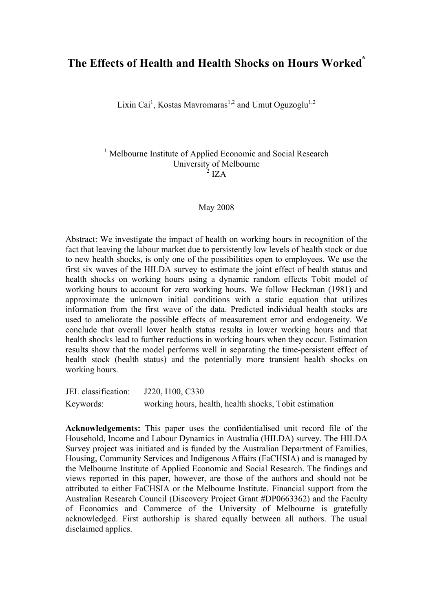# **The Effects of Health and Health Shocks on Hours Worked\***

Lixin Cai<sup>1</sup>, Kostas Mavromaras<sup>1,2</sup> and Umut Oguzoglu<sup>1,2</sup>

<sup>1</sup> Melbourne Institute of Applied Economic and Social Research University of Melbourne  $2$  IZA

#### May 2008

Abstract: We investigate the impact of health on working hours in recognition of the fact that leaving the labour market due to persistently low levels of health stock or due to new health shocks, is only one of the possibilities open to employees. We use the first six waves of the HILDA survey to estimate the joint effect of health status and health shocks on working hours using a dynamic random effects Tobit model of working hours to account for zero working hours. We follow Heckman (1981) and approximate the unknown initial conditions with a static equation that utilizes information from the first wave of the data. Predicted individual health stocks are used to ameliorate the possible effects of measurement error and endogeneity. We conclude that overall lower health status results in lower working hours and that health shocks lead to further reductions in working hours when they occur. Estimation results show that the model performs well in separating the time-persistent effect of health stock (health status) and the potentially more transient health shocks on working hours.

JEL classification: J220, I100, C330 Keywords: working hours, health, health shocks, Tobit estimation

**Acknowledgements:** This paper uses the confidentialised unit record file of the Household, Income and Labour Dynamics in Australia (HILDA) survey. The HILDA Survey project was initiated and is funded by the Australian Department of Families, Housing, Community Services and Indigenous Affairs (FaCHSIA) and is managed by the Melbourne Institute of Applied Economic and Social Research. The findings and views reported in this paper, however, are those of the authors and should not be attributed to either FaCHSIA or the Melbourne Institute. Financial support from the Australian Research Council (Discovery Project Grant #DP0663362) and the Faculty of Economics and Commerce of the University of Melbourne is gratefully acknowledged. First authorship is shared equally between all authors. The usual disclaimed applies.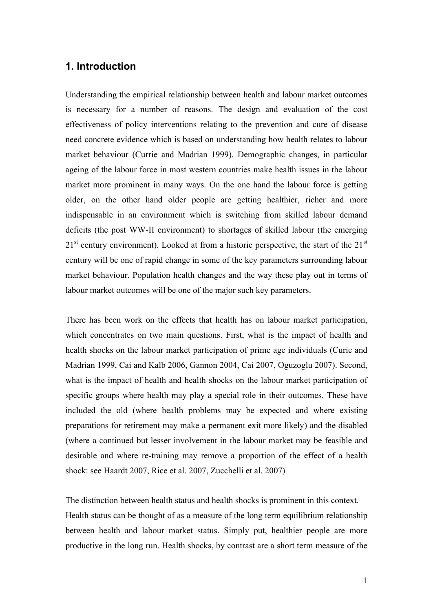## **1. Introduction**

Understanding the empirical relationship between health and labour market outcomes is necessary for a number of reasons. The design and evaluation of the cost effectiveness of policy interventions relating to the prevention and cure of disease need concrete evidence which is based on understanding how health relates to labour market behaviour (Currie and Madrian 1999). Demographic changes, in particular ageing of the labour force in most western countries make health issues in the labour market more prominent in many ways. On the one hand the labour force is getting older, on the other hand older people are getting healthier, richer and more indispensable in an environment which is switching from skilled labour demand deficits (the post WW-II environment) to shortages of skilled labour (the emerging  $21<sup>st</sup>$  century environment). Looked at from a historic perspective, the start of the  $21<sup>st</sup>$ century will be one of rapid change in some of the key parameters surrounding labour market behaviour. Population health changes and the way these play out in terms of labour market outcomes will be one of the major such key parameters.

There has been work on the effects that health has on labour market participation, which concentrates on two main questions. First, what is the impact of health and health shocks on the labour market participation of prime age individuals (Curie and Madrian 1999, Cai and Kalb 2006, Gannon 2004, Cai 2007, Oguzoglu 2007). Second, what is the impact of health and health shocks on the labour market participation of specific groups where health may play a special role in their outcomes. These have included the old (where health problems may be expected and where existing preparations for retirement may make a permanent exit more likely) and the disabled (where a continued but lesser involvement in the labour market may be feasible and desirable and where re-training may remove a proportion of the effect of a health shock: see Haardt 2007, Rice et al. 2007, Zucchelli et al. 2007)

The distinction between health status and health shocks is prominent in this context. Health status can be thought of as a measure of the long term equilibrium relationship between health and labour market status. Simply put, healthier people are more productive in the long run. Health shocks, by contrast are a short term measure of the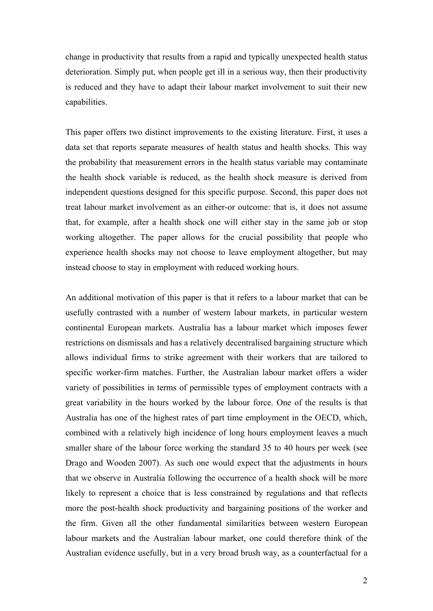change in productivity that results from a rapid and typically unexpected health status deterioration. Simply put, when people get ill in a serious way, then their productivity is reduced and they have to adapt their labour market involvement to suit their new capabilities.

This paper offers two distinct improvements to the existing literature. First, it uses a data set that reports separate measures of health status and health shocks. This way the probability that measurement errors in the health status variable may contaminate the health shock variable is reduced, as the health shock measure is derived from independent questions designed for this specific purpose. Second, this paper does not treat labour market involvement as an either-or outcome: that is, it does not assume that, for example, after a health shock one will either stay in the same job or stop working altogether. The paper allows for the crucial possibility that people who experience health shocks may not choose to leave employment altogether, but may instead choose to stay in employment with reduced working hours.

An additional motivation of this paper is that it refers to a labour market that can be usefully contrasted with a number of western labour markets, in particular western continental European markets. Australia has a labour market which imposes fewer restrictions on dismissals and has a relatively decentralised bargaining structure which allows individual firms to strike agreement with their workers that are tailored to specific worker-firm matches. Further, the Australian labour market offers a wider variety of possibilities in terms of permissible types of employment contracts with a great variability in the hours worked by the labour force. One of the results is that Australia has one of the highest rates of part time employment in the OECD, which, combined with a relatively high incidence of long hours employment leaves a much smaller share of the labour force working the standard 35 to 40 hours per week (see Drago and Wooden 2007). As such one would expect that the adjustments in hours that we observe in Australia following the occurrence of a health shock will be more likely to represent a choice that is less constrained by regulations and that reflects more the post-health shock productivity and bargaining positions of the worker and the firm. Given all the other fundamental similarities between western European labour markets and the Australian labour market, one could therefore think of the Australian evidence usefully, but in a very broad brush way, as a counterfactual for a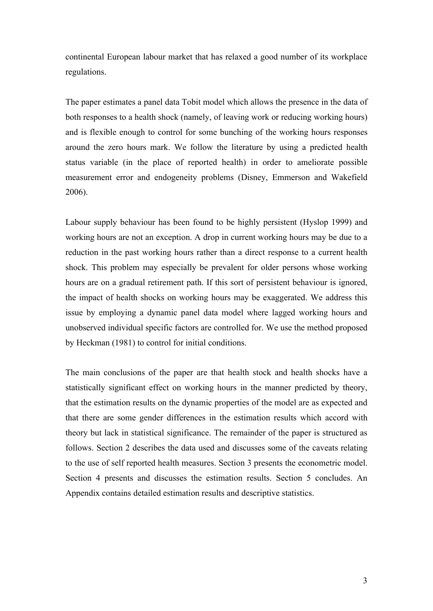continental European labour market that has relaxed a good number of its workplace regulations.

The paper estimates a panel data Tobit model which allows the presence in the data of both responses to a health shock (namely, of leaving work or reducing working hours) and is flexible enough to control for some bunching of the working hours responses around the zero hours mark. We follow the literature by using a predicted health status variable (in the place of reported health) in order to ameliorate possible measurement error and endogeneity problems (Disney, Emmerson and Wakefield 2006).

Labour supply behaviour has been found to be highly persistent (Hyslop 1999) and working hours are not an exception. A drop in current working hours may be due to a reduction in the past working hours rather than a direct response to a current health shock. This problem may especially be prevalent for older persons whose working hours are on a gradual retirement path. If this sort of persistent behaviour is ignored, the impact of health shocks on working hours may be exaggerated. We address this issue by employing a dynamic panel data model where lagged working hours and unobserved individual specific factors are controlled for. We use the method proposed by Heckman (1981) to control for initial conditions.

The main conclusions of the paper are that health stock and health shocks have a statistically significant effect on working hours in the manner predicted by theory, that the estimation results on the dynamic properties of the model are as expected and that there are some gender differences in the estimation results which accord with theory but lack in statistical significance. The remainder of the paper is structured as follows. Section 2 describes the data used and discusses some of the caveats relating to the use of self reported health measures. Section 3 presents the econometric model. Section 4 presents and discusses the estimation results. Section 5 concludes. An Appendix contains detailed estimation results and descriptive statistics.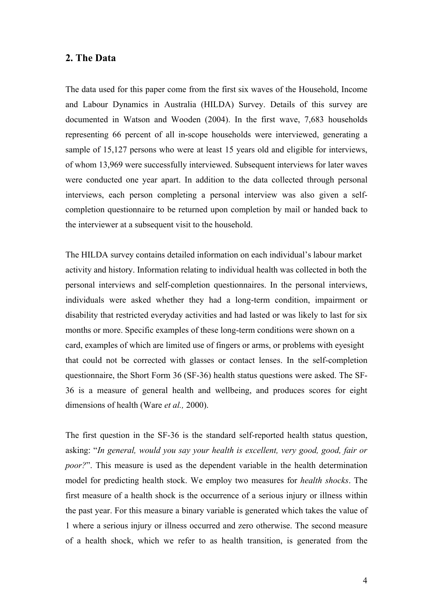#### **2. The Data**

The data used for this paper come from the first six waves of the Household, Income and Labour Dynamics in Australia (HILDA) Survey. Details of this survey are documented in Watson and Wooden (2004). In the first wave, 7,683 households representing 66 percent of all in-scope households were interviewed, generating a sample of 15,127 persons who were at least 15 years old and eligible for interviews, of whom 13,969 were successfully interviewed. Subsequent interviews for later waves were conducted one year apart. In addition to the data collected through personal interviews, each person completing a personal interview was also given a selfcompletion questionnaire to be returned upon completion by mail or handed back to the interviewer at a subsequent visit to the household.

The HILDA survey contains detailed information on each individual's labour market activity and history. Information relating to individual health was collected in both the personal interviews and self-completion questionnaires. In the personal interviews, individuals were asked whether they had a long-term condition, impairment or disability that restricted everyday activities and had lasted or was likely to last for six months or more. Specific examples of these long-term conditions were shown on a card, examples of which are limited use of fingers or arms, or problems with eyesight that could not be corrected with glasses or contact lenses. In the self-completion questionnaire, the Short Form 36 (SF-36) health status questions were asked. The SF-36 is a measure of general health and wellbeing, and produces scores for eight dimensions of health (Ware *et al.,* 2000).

The first question in the SF-36 is the standard self-reported health status question, asking: "*In general, would you say your health is excellent, very good, good, fair or poor?*". This measure is used as the dependent variable in the health determination model for predicting health stock. We employ two measures for *health shocks*. The first measure of a health shock is the occurrence of a serious injury or illness within the past year. For this measure a binary variable is generated which takes the value of 1 where a serious injury or illness occurred and zero otherwise. The second measure of a health shock, which we refer to as health transition, is generated from the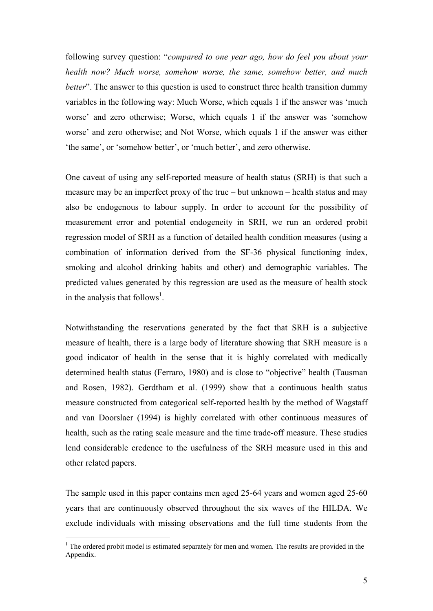following survey question: "*compared to one year ago, how do feel you about your health now? Much worse, somehow worse, the same, somehow better, and much better*". The answer to this question is used to construct three health transition dummy variables in the following way: Much Worse, which equals 1 if the answer was 'much worse' and zero otherwise; Worse, which equals 1 if the answer was 'somehow worse' and zero otherwise; and Not Worse, which equals 1 if the answer was either 'the same', or 'somehow better', or 'much better', and zero otherwise.

One caveat of using any self-reported measure of health status (SRH) is that such a measure may be an imperfect proxy of the true – but unknown – health status and may also be endogenous to labour supply. In order to account for the possibility of measurement error and potential endogeneity in SRH, we run an ordered probit regression model of SRH as a function of detailed health condition measures (using a combination of information derived from the SF-36 physical functioning index, smoking and alcohol drinking habits and other) and demographic variables. The predicted values generated by this regression are used as the measure of health stock in the analysis that follows<sup>1</sup>.

Notwithstanding the reservations generated by the fact that SRH is a subjective measure of health, there is a large body of literature showing that SRH measure is a good indicator of health in the sense that it is highly correlated with medically determined health status (Ferraro, 1980) and is close to "objective" health (Tausman and Rosen, 1982). Gerdtham et al. (1999) show that a continuous health status measure constructed from categorical self-reported health by the method of Wagstaff and van Doorslaer (1994) is highly correlated with other continuous measures of health, such as the rating scale measure and the time trade-off measure. These studies lend considerable credence to the usefulness of the SRH measure used in this and other related papers.

The sample used in this paper contains men aged 25-64 years and women aged 25-60 years that are continuously observed throughout the six waves of the HILDA. We exclude individuals with missing observations and the full time students from the

 $\overline{a}$ 

 $<sup>1</sup>$  The ordered probit model is estimated separately for men and women. The results are provided in the</sup> Appendix.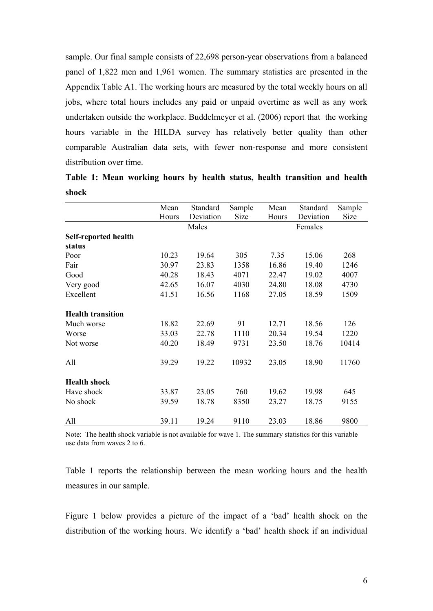sample. Our final sample consists of 22,698 person-year observations from a balanced panel of 1,822 men and 1,961 women. The summary statistics are presented in the Appendix Table A1. The working hours are measured by the total weekly hours on all jobs, where total hours includes any paid or unpaid overtime as well as any work undertaken outside the workplace. Buddelmeyer et al. (2006) report that the working hours variable in the HILDA survey has relatively better quality than other comparable Australian data sets, with fewer non-response and more consistent distribution over time.

|       |  |  |  |  | Table 1: Mean working hours by health status, health transition and health |  |
|-------|--|--|--|--|----------------------------------------------------------------------------|--|
| shock |  |  |  |  |                                                                            |  |

|                          | Mean  | Standard  | Sample      | Mean  | Standard  | Sample |
|--------------------------|-------|-----------|-------------|-------|-----------|--------|
|                          | Hours | Deviation | <b>Size</b> | Hours | Deviation | Size   |
|                          |       | Males     |             |       | Females   |        |
| Self-reported health     |       |           |             |       |           |        |
| status                   |       |           |             |       |           |        |
| Poor                     | 10.23 | 19.64     | 305         | 7.35  | 15.06     | 268    |
| Fair                     | 30.97 | 23.83     | 1358        | 16.86 | 19.40     | 1246   |
| Good                     | 40.28 | 18.43     | 4071        | 22.47 | 19.02     | 4007   |
| Very good                | 42.65 | 16.07     | 4030        | 24.80 | 18.08     | 4730   |
| Excellent                | 41.51 | 16.56     | 1168        | 27.05 | 18.59     | 1509   |
| <b>Health transition</b> |       |           |             |       |           |        |
| Much worse               | 18.82 | 22.69     | 91          | 12.71 | 18.56     | 126    |
| Worse                    | 33.03 | 22.78     | 1110        | 20.34 | 19.54     | 1220   |
| Not worse                | 40.20 | 18.49     | 9731        | 23.50 | 18.76     | 10414  |
| All                      | 39.29 | 19.22     | 10932       | 23.05 | 18.90     | 11760  |
| <b>Health shock</b>      |       |           |             |       |           |        |
| Have shock               | 33.87 | 23.05     | 760         | 19.62 | 19.98     | 645    |
| No shock                 | 39.59 | 18.78     | 8350        | 23.27 | 18.75     | 9155   |
| All                      | 39.11 | 19.24     | 9110        | 23.03 | 18.86     | 9800   |

Note: The health shock variable is not available for wave 1. The summary statistics for this variable use data from waves 2 to 6.

Table 1 reports the relationship between the mean working hours and the health measures in our sample.

Figure 1 below provides a picture of the impact of a 'bad' health shock on the distribution of the working hours. We identify a 'bad' health shock if an individual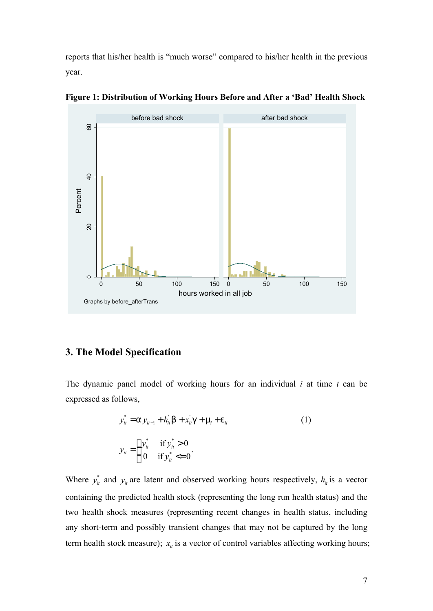reports that his/her health is "much worse" compared to his/her health in the previous year.



**Figure 1: Distribution of Working Hours Before and After a 'Bad' Health Shock**

# **3. The Model Specification**

The dynamic panel model of working hours for an individual *i* at time *t* can be expressed as follows,

$$
y_{it}^{*} = a y_{it-1} + h_{it}^{'} b + x_{it}^{'} g + m_{i} + e_{it}
$$
  
\n
$$
y_{it} =\begin{cases} y_{it}^{*} & \text{if } y_{it}^{*} > 0\\ 0 & \text{if } y_{it}^{*} <= 0 \end{cases}
$$
\n(1)

Where  $y_{it}^*$  and  $y_{it}$  are latent and observed working hours respectively,  $h_{it}$  is a vector containing the predicted health stock (representing the long run health status) and the two health shock measures (representing recent changes in health status, including any short-term and possibly transient changes that may not be captured by the long term health stock measure);  $x<sub>i</sub>$  is a vector of control variables affecting working hours;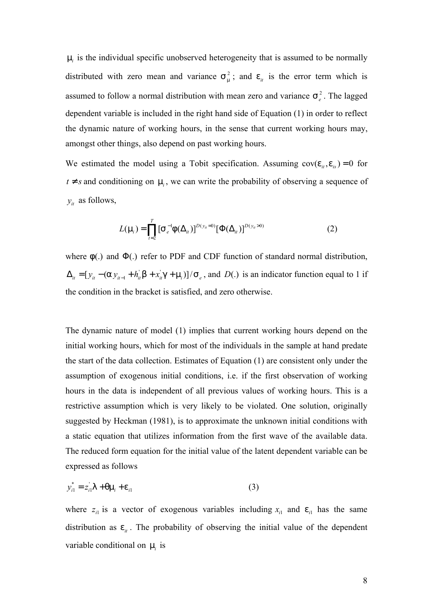$m<sub>i</sub>$  is the individual specific unobserved heterogeneity that is assumed to be normally distributed with zero mean and variance  $S_m^2$ ; and  $e_{it}$  is the error term which is assumed to follow a normal distribution with mean zero and variance  $S_e^2$ . The lagged dependent variable is included in the right hand side of Equation (1) in order to reflect the dynamic nature of working hours, in the sense that current working hours may, amongst other things, also depend on past working hours.

We estimated the model using a Tobit specification. Assuming  $cov(e_{it}, e_{is}) = 0$  for  $t \neq s$  and conditioning on  $m_i$ , we can write the probability of observing a sequence of  $y_{it}$  as follows,

$$
L(\mathbf{m}_{i}) = \prod_{t=2}^{T} \left[ S_{e}^{-1} f(\Delta_{it}) \right]^{D(y_{it}=0)} \left[ \Phi(\Delta_{it}) \right]^{D(y_{it}>0)}
$$
(2)

where *f*(.) and Φ(.) refer to PDF and CDF function of standard normal distribution,  $\Delta_{it} = [y_{it} - (\Delta y_{it-1} + h_{it}^{\dagger} \mathbf{b} + x_{it}^{\dagger} \mathbf{g} + \mathbf{m}_i)]/\mathbf{S}_e$ , and  $D(.)$  is an indicator function equal to 1 if the condition in the bracket is satisfied, and zero otherwise.

The dynamic nature of model (1) implies that current working hours depend on the initial working hours, which for most of the individuals in the sample at hand predate the start of the data collection. Estimates of Equation (1) are consistent only under the assumption of exogenous initial conditions, i.e. if the first observation of working hours in the data is independent of all previous values of working hours. This is a restrictive assumption which is very likely to be violated. One solution, originally suggested by Heckman (1981), is to approximate the unknown initial conditions with a static equation that utilizes information from the first wave of the available data. The reduced form equation for the initial value of the latent dependent variable can be expressed as follows

$$
y_{i1}^* = z_{i1}^* I + q m_i + e_{i1}
$$
 (3)

where  $z_{i1}$  is a vector of exogenous variables including  $x_{i1}$  and  $e_{i1}$  has the same distribution as  $e_{it}$ . The probability of observing the initial value of the dependent variable conditional on *m<sup>i</sup>* is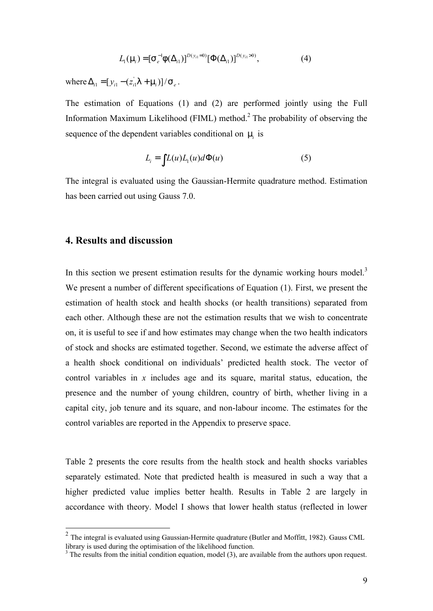$$
L_1(\mathsf{m}_i) = [\mathsf{S}_e^{-1} \mathsf{f}(\Delta_{i1})]^{D(y_{i1}=0)} [\Phi(\Delta_{i1})]^{D(y_{i1}>0)},\tag{4}
$$

where  $\Delta_{i1} = [y_{i1} - (z_{i1}^{\dagger}l + m_i)]/S_e$ .

The estimation of Equations (1) and (2) are performed jointly using the Full Information Maximum Likelihood (FIML) method. 2 The probability of observing the sequence of the dependent variables conditional on *m<sup>i</sup>* is

$$
L_i = \int L(u)L_1(u)d\Phi(u) \tag{5}
$$

The integral is evaluated using the Gaussian-Hermite quadrature method. Estimation has been carried out using Gauss 7.0.

#### **4. Results and discussion**

 $\overline{a}$ 

In this section we present estimation results for the dynamic working hours model.<sup>3</sup> We present a number of different specifications of Equation (1). First, we present the estimation of health stock and health shocks (or health transitions) separated from each other. Although these are not the estimation results that we wish to concentrate on, it is useful to see if and how estimates may change when the two health indicators of stock and shocks are estimated together. Second, we estimate the adverse affect of a health shock conditional on individuals' predicted health stock. The vector of control variables in *x* includes age and its square, marital status, education, the presence and the number of young children, country of birth, whether living in a capital city, job tenure and its square, and non-labour income. The estimates for the control variables are reported in the Appendix to preserve space.

Table 2 presents the core results from the health stock and health shocks variables separately estimated. Note that predicted health is measured in such a way that a higher predicted value implies better health. Results in Table 2 are largely in accordance with theory. Model I shows that lower health status (reflected in lower

 $2$  The integral is evaluated using Gaussian-Hermite quadrature (Butler and Moffitt, 1982). Gauss CML library is used during the optimisation of the likelihood function.

 $3$  The results from the initial condition equation, model (3), are available from the authors upon request.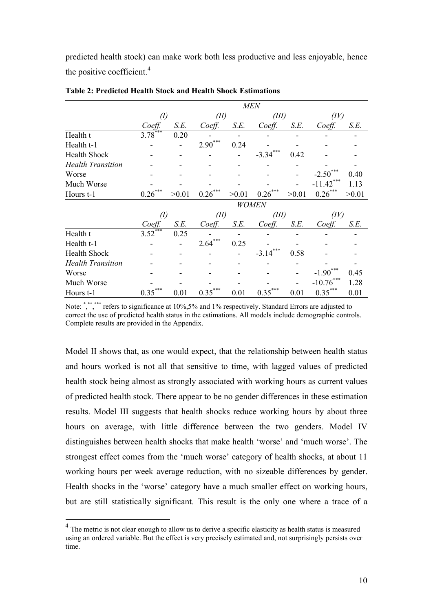predicted health stock) can make work both less productive and less enjoyable, hence the positive coefficient.<sup>4</sup>

|                          |             |       |             |       | <b>MEN</b>     |       |                       |       |
|--------------------------|-------------|-------|-------------|-------|----------------|-------|-----------------------|-------|
|                          | (I)         |       | 'Ш          |       | (III)          |       | (IV)                  |       |
|                          | Coeff.      | S.E.  | Coeff.      | S.E.  | Coeff.         | S.E.  | Coeff.                | S.E.  |
| Health t                 | $3.78***$   | 0.20  |             |       |                |       |                       |       |
| Health t-1               |             |       | $2.90***$   | 0.24  |                |       |                       |       |
| <b>Health Shock</b>      |             |       |             |       | ***<br>$-3.34$ | 0.42  |                       |       |
| <b>Health Transition</b> |             |       |             |       |                |       |                       |       |
| Worse                    |             |       |             |       |                |       | $-2.50$               | 0.40  |
| Much Worse               |             |       |             |       |                |       | $-11.42$ <sup>*</sup> | 1.13  |
| Hours t-1                | ***<br>0.26 | >0.01 | ***<br>0.26 | >0.01 | 0.26           | >0.01 | $0.26***$             | >0.01 |
|                          |             |       |             |       | <b>WOMEN</b>   |       |                       |       |
|                          | (I)         |       | Œ           |       | (III)          |       | (IV)                  |       |
|                          | Coeff.      | S.E.  | Coeff.      | S.E.  | Coeff.         | S.E.  | Coeff.                | S.E.  |
| Health t                 | ***<br>3.52 | 0.25  |             |       |                |       |                       |       |
| Health t-1               |             |       | ***<br>2.64 | 0.25  |                |       |                       |       |
| <b>Health Shock</b>      |             |       |             |       | ***<br>$-3.14$ | 0.58  |                       |       |
| <b>Health Transition</b> |             |       |             |       |                |       |                       |       |
| Worse                    |             |       |             |       |                |       | $-1.90$               | 0.45  |
| Much Worse               |             |       |             |       |                |       | ***<br>$-10.76$       | 1.28  |
| Hours t-1                | ***<br>0.35 | 0.01  | ***<br>0.35 | 0.01  | 0.35           | 0.01  | ***<br>0.35           | 0.01  |

#### **Table 2: Predicted Health Stock and Health Shock Estimations**

Note: ","," refers to significance at 10%,5% and 1% respectively. Standard Errors are adjusted to correct the use of predicted health status in the estimations. All models include demographic controls. Complete results are provided in the Appendix.

Model II shows that, as one would expect, that the relationship between health status and hours worked is not all that sensitive to time, with lagged values of predicted health stock being almost as strongly associated with working hours as current values of predicted health stock. There appear to be no gender differences in these estimation results. Model III suggests that health shocks reduce working hours by about three hours on average, with little difference between the two genders. Model IV distinguishes between health shocks that make health 'worse' and 'much worse'. The strongest effect comes from the 'much worse' category of health shocks, at about 11 working hours per week average reduction, with no sizeable differences by gender. Health shocks in the 'worse' category have a much smaller effect on working hours, but are still statistically significant. This result is the only one where a trace of a

 $\overline{a}$ 

 $4$  The metric is not clear enough to allow us to derive a specific elasticity as health status is measured using an ordered variable. But the effect is very precisely estimated and, not surprisingly persists over time.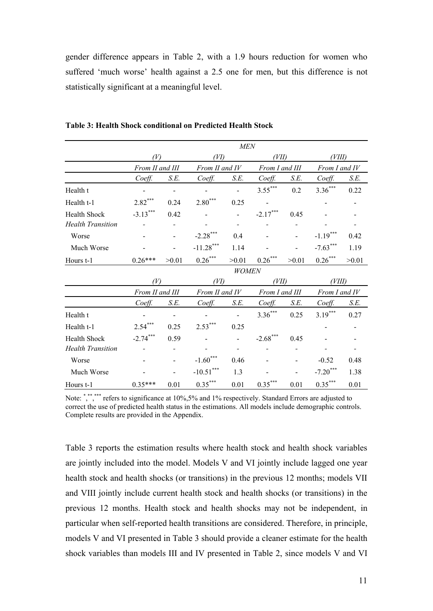gender difference appears in Table 2, with a 1.9 hours reduction for women who suffered 'much worse' health against a 2.5 one for men, but this difference is not statistically significant at a meaningful level.

|                          |                 |                |                       | <b>MEN</b> |                |       |               |       |  |  |  |
|--------------------------|-----------------|----------------|-----------------------|------------|----------------|-------|---------------|-------|--|--|--|
|                          | (V)             |                |                       | WD)        |                | VШ)   |               | VIII) |  |  |  |
|                          | From II and III |                | From II and IV        |            | From I and III |       | From I and IV |       |  |  |  |
|                          | Coeff.          | S.E.           | Coeff.                | S.E.       | Coeff.         | S.E.  | Coeff.        | S.E.  |  |  |  |
| Health t                 |                 |                | $\sim$                |            | $3.55***$      | 0.2   | $3.36***$     | 0.22  |  |  |  |
| Health t-1               | $2.82***$       | 0.24           | $2.80***$             | 0.25       |                |       |               |       |  |  |  |
| <b>Health Shock</b>      | $-3.13***$      | 0.42           |                       |            | $-2.17***$     | 0.45  |               |       |  |  |  |
| <b>Health Transition</b> |                 |                |                       |            |                |       |               |       |  |  |  |
| Worse                    |                 |                | $-2.28***$            | 0.4        |                |       | $-1.19***$    | 0.42  |  |  |  |
| Much Worse               |                 |                | $-11.28***$           | 1.14       |                |       | $-7.63***$    | 1.19  |  |  |  |
| Hours t-1                | $0.26***$       | >0.01          | $0.26\sp{*}^{***}$    | >0.01      | $0.26***$      | >0.01 | $0.26***$     | >0.01 |  |  |  |
|                          | <b>WOMEN</b>    |                |                       |            |                |       |               |       |  |  |  |
|                          | (V)             |                | (VI)                  |            | (VII)          |       | (VIII)        |       |  |  |  |
|                          | From II and III |                | From II and IV        |            | From I and III |       | From I and IV |       |  |  |  |
|                          | Coeff.          | S.E.           | Coeff.                | S.E.       | Coeff.         | S.E.  | Coeff.        | S.E.  |  |  |  |
| Health t                 |                 | $\overline{a}$ |                       |            | $3.36***$      | 0.25  | $3.19***$     | 0.27  |  |  |  |
| Health t-1               | $2.54***$       | 0.25           | $2.53***$             | 0.25       |                |       |               |       |  |  |  |
| Health Shock             | $-2.74***$      | 0.59           |                       |            | $-2.68$ ***    | 0.45  |               |       |  |  |  |
| <b>Health Transition</b> |                 |                |                       |            |                |       |               |       |  |  |  |
| Worse                    |                 | $\blacksquare$ | $-1.60***$            | 0.46       |                |       | $-0.52$       | 0.48  |  |  |  |
| Much Worse               |                 |                | $\text{-}10.51^{***}$ | 1.3        |                |       | $-7.20***$    | 1.38  |  |  |  |
| Hours t-1                | $0.35***$       | 0.01           | $0.35***$             | 0.01       | $0.35***$      | 0.01  | $0.35***$     | 0.01  |  |  |  |

**Table 3: Health Shock conditional on Predicted Health Stock** 

Note: ","," refers to significance at 10%,5% and 1% respectively. Standard Errors are adjusted to correct the use of predicted health status in the estimations. All models include demographic controls. Complete results are provided in the Appendix.

Table 3 reports the estimation results where health stock and health shock variables are jointly included into the model. Models V and VI jointly include lagged one year health stock and health shocks (or transitions) in the previous 12 months; models VII and VIII jointly include current health stock and health shocks (or transitions) in the previous 12 months. Health stock and health shocks may not be independent, in particular when self-reported health transitions are considered. Therefore, in principle, models V and VI presented in Table 3 should provide a cleaner estimate for the health shock variables than models III and IV presented in Table 2, since models V and VI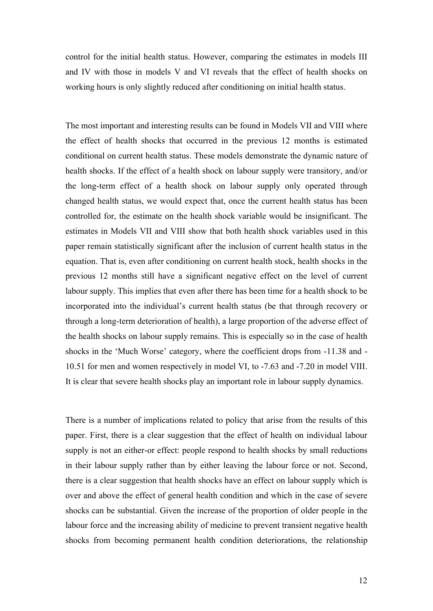control for the initial health status. However, comparing the estimates in models III and IV with those in models V and VI reveals that the effect of health shocks on working hours is only slightly reduced after conditioning on initial health status.

The most important and interesting results can be found in Models VII and VIII where the effect of health shocks that occurred in the previous 12 months is estimated conditional on current health status. These models demonstrate the dynamic nature of health shocks. If the effect of a health shock on labour supply were transitory, and/or the long-term effect of a health shock on labour supply only operated through changed health status, we would expect that, once the current health status has been controlled for, the estimate on the health shock variable would be insignificant. The estimates in Models VII and VIII show that both health shock variables used in this paper remain statistically significant after the inclusion of current health status in the equation. That is, even after conditioning on current health stock, health shocks in the previous 12 months still have a significant negative effect on the level of current labour supply. This implies that even after there has been time for a health shock to be incorporated into the individual's current health status (be that through recovery or through a long-term deterioration of health), a large proportion of the adverse effect of the health shocks on labour supply remains. This is especially so in the case of health shocks in the 'Much Worse' category, where the coefficient drops from -11.38 and - 10.51 for men and women respectively in model VI, to -7.63 and -7.20 in model VIII. It is clear that severe health shocks play an important role in labour supply dynamics.

There is a number of implications related to policy that arise from the results of this paper. First, there is a clear suggestion that the effect of health on individual labour supply is not an either-or effect: people respond to health shocks by small reductions in their labour supply rather than by either leaving the labour force or not. Second, there is a clear suggestion that health shocks have an effect on labour supply which is over and above the effect of general health condition and which in the case of severe shocks can be substantial. Given the increase of the proportion of older people in the labour force and the increasing ability of medicine to prevent transient negative health shocks from becoming permanent health condition deteriorations, the relationship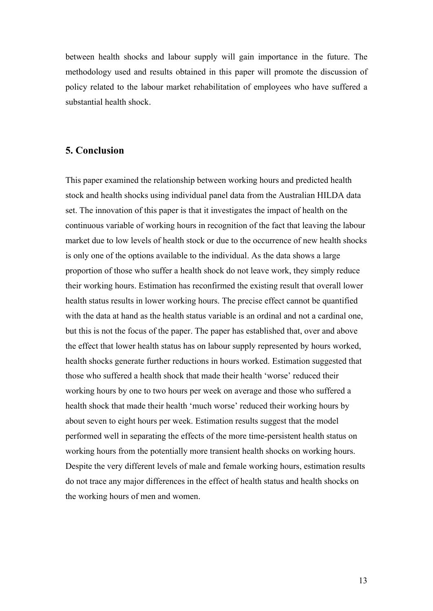between health shocks and labour supply will gain importance in the future. The methodology used and results obtained in this paper will promote the discussion of policy related to the labour market rehabilitation of employees who have suffered a substantial health shock.

## **5. Conclusion**

This paper examined the relationship between working hours and predicted health stock and health shocks using individual panel data from the Australian HILDA data set. The innovation of this paper is that it investigates the impact of health on the continuous variable of working hours in recognition of the fact that leaving the labour market due to low levels of health stock or due to the occurrence of new health shocks is only one of the options available to the individual. As the data shows a large proportion of those who suffer a health shock do not leave work, they simply reduce their working hours. Estimation has reconfirmed the existing result that overall lower health status results in lower working hours. The precise effect cannot be quantified with the data at hand as the health status variable is an ordinal and not a cardinal one, but this is not the focus of the paper. The paper has established that, over and above the effect that lower health status has on labour supply represented by hours worked, health shocks generate further reductions in hours worked. Estimation suggested that those who suffered a health shock that made their health 'worse' reduced their working hours by one to two hours per week on average and those who suffered a health shock that made their health 'much worse' reduced their working hours by about seven to eight hours per week. Estimation results suggest that the model performed well in separating the effects of the more time-persistent health status on working hours from the potentially more transient health shocks on working hours. Despite the very different levels of male and female working hours, estimation results do not trace any major differences in the effect of health status and health shocks on the working hours of men and women.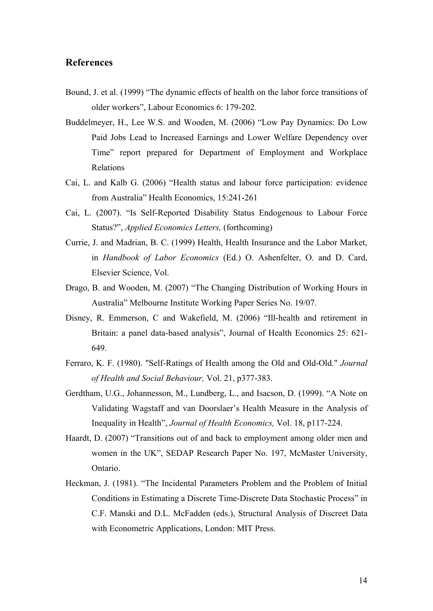## **References**

- Bound, J. et al. (1999) "The dynamic effects of health on the labor force transitions of older workers", Labour Economics 6: 179-202.
- Buddelmeyer, H., Lee W.S. and Wooden, M. (2006) "Low Pay Dynamics: Do Low Paid Jobs Lead to Increased Earnings and Lower Welfare Dependency over Time" report prepared for Department of Employment and Workplace Relations
- Cai, L. and Kalb G. (2006) "Health status and labour force participation: evidence from Australia" Health Economics, 15:241-261
- Cai, L. (2007). "Is Self-Reported Disability Status Endogenous to Labour Force Status?", *Applied Economics Letters,* (forthcoming)
- Currie, J. and Madrian, B. C. (1999) Health, Health Insurance and the Labor Market, in *Handbook of Labor Economics* (Ed.) O. Ashenfelter, O. and D. Card, Elsevier Science, Vol.
- Drago, B. and Wooden, M. (2007) "The Changing Distribution of Working Hours in Australia" Melbourne Institute Working Paper Series No. 19/07.
- Disney, R. Emmerson, C and Wakefield, M. (2006) "Ill-health and retirement in Britain: a panel data-based analysis", Journal of Health Economics 25: 621- 649.
- Ferraro, K. F. (1980). "Self-Ratings of Health among the Old and Old-Old." *Journal of Health and Social Behaviour,* Vol. 21, p377-383.
- Gerdtham, U.G., Johannesson, M., Lundberg, L., and Isacson, D. (1999). "A Note on Validating Wagstaff and van Doorslaer's Health Measure in the Analysis of Inequality in Health", *Journal of Health Economics,* Vol. 18, p117-224.
- Haardt, D. (2007) "Transitions out of and back to employment among older men and women in the UK", SEDAP Research Paper No. 197, McMaster University, Ontario.
- Heckman, J. (1981). "The Incidental Parameters Problem and the Problem of Initial Conditions in Estimating a Discrete Time-Discrete Data Stochastic Process" in C.F. Manski and D.L. McFadden (eds.), Structural Analysis of Discreet Data with Econometric Applications, London: MIT Press.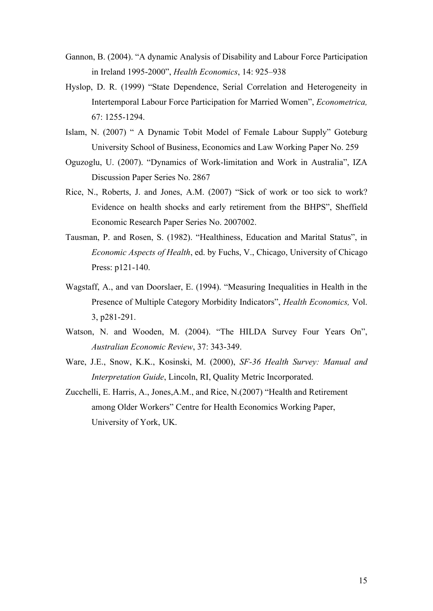- Gannon, B. (2004). "A dynamic Analysis of Disability and Labour Force Participation in Ireland 1995-2000", *Health Economics*, 14: 925–938
- Hyslop, D. R. (1999) "State Dependence, Serial Correlation and Heterogeneity in Intertemporal Labour Force Participation for Married Women", *Econometrica,*  67: 1255-1294.
- Islam, N. (2007) " A Dynamic Tobit Model of Female Labour Supply" Goteburg University School of Business, Economics and Law Working Paper No. 259
- Oguzoglu, U. (2007). "Dynamics of Work-limitation and Work in Australia", IZA Discussion Paper Series No. 2867
- Rice, N., Roberts, J. and Jones, A.M. (2007) "Sick of work or too sick to work? Evidence on health shocks and early retirement from the BHPS", Sheffield Economic Research Paper Series No. 2007002.
- Tausman, P. and Rosen, S. (1982). "Healthiness, Education and Marital Status", in *Economic Aspects of Health*, ed. by Fuchs, V., Chicago, University of Chicago Press: p121-140.
- Wagstaff, A., and van Doorslaer, E. (1994). "Measuring Inequalities in Health in the Presence of Multiple Category Morbidity Indicators", *Health Economics,* Vol. 3, p281-291.
- Watson, N. and Wooden, M. (2004). "The HILDA Survey Four Years On", *Australian Economic Review*, 37: 343-349.
- Ware, J.E., Snow, K.K., Kosinski, M. (2000), *SF-36 Health Survey: Manual and Interpretation Guide*, Lincoln, RI, Quality Metric Incorporated.
- Zucchelli, E. Harris, A., Jones,A.M., and Rice, N.(2007) "Health and Retirement among Older Workers" Centre for Health Economics Working Paper, University of York, UK.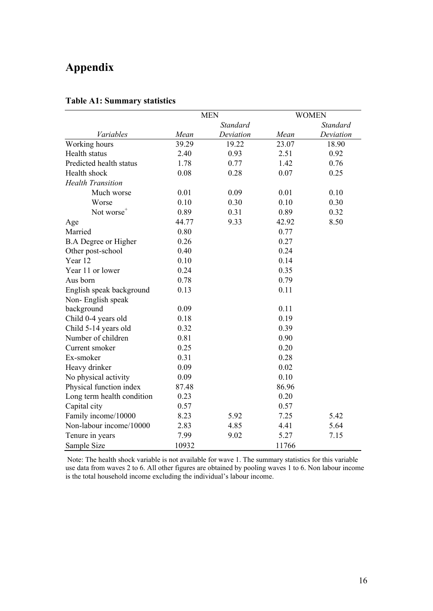# **Appendix**

|                             | <b>MEN</b> |                 |       | <b>WOMEN</b>    |
|-----------------------------|------------|-----------------|-------|-----------------|
|                             |            | <b>Standard</b> |       | <b>Standard</b> |
| Variables                   | Mean       | Deviation       | Mean  | Deviation       |
| Working hours               | 39.29      | 19.22           | 23.07 | 18.90           |
| Health status               | 2.40       | 0.93            | 2.51  | 0.92            |
| Predicted health status     | 1.78       | 0.77            | 1.42  | 0.76            |
| Health shock                | 0.08       | 0.28            | 0.07  | 0.25            |
| <b>Health Transition</b>    |            |                 |       |                 |
| Much worse                  | 0.01       | 0.09            | 0.01  | 0.10            |
| Worse                       | 0.10       | 0.30            | 0.10  | 0.30            |
| Not worse <sup>+</sup>      | 0.89       | 0.31            | 0.89  | 0.32            |
| Age                         | 44.77      | 9.33            | 42.92 | 8.50            |
| Married                     | 0.80       |                 | 0.77  |                 |
| <b>B.A Degree or Higher</b> | 0.26       |                 | 0.27  |                 |
| Other post-school           | 0.40       |                 | 0.24  |                 |
| Year 12                     | 0.10       |                 | 0.14  |                 |
| Year 11 or lower            | 0.24       |                 | 0.35  |                 |
| Aus born                    | 0.78       |                 | 0.79  |                 |
| English speak background    | 0.13       |                 | 0.11  |                 |
| Non-English speak           |            |                 |       |                 |
| background                  | 0.09       |                 | 0.11  |                 |
| Child 0-4 years old         | 0.18       |                 | 0.19  |                 |
| Child 5-14 years old        | 0.32       |                 | 0.39  |                 |
| Number of children          | 0.81       |                 | 0.90  |                 |
| Current smoker              | 0.25       |                 | 0.20  |                 |
| Ex-smoker                   | 0.31       |                 | 0.28  |                 |
| Heavy drinker               | 0.09       |                 | 0.02  |                 |
| No physical activity        | 0.09       |                 | 0.10  |                 |
| Physical function index     | 87.48      |                 | 86.96 |                 |
| Long term health condition  | 0.23       |                 | 0.20  |                 |
| Capital city                | 0.57       |                 | 0.57  |                 |
| Family income/10000         | 8.23       | 5.92            | 7.25  | 5.42            |
| Non-labour income/10000     | 2.83       | 4.85            | 4.41  | 5.64            |
| Tenure in years             | 7.99       | 9.02            | 5.27  | 7.15            |
| Sample Size                 | 10932      |                 | 11766 |                 |

## **Table A1: Summary statistics**

 Note: The health shock variable is not available for wave 1. The summary statistics for this variable use data from waves 2 to 6. All other figures are obtained by pooling waves 1 to 6. Non labour income is the total household income excluding the individual's labour income.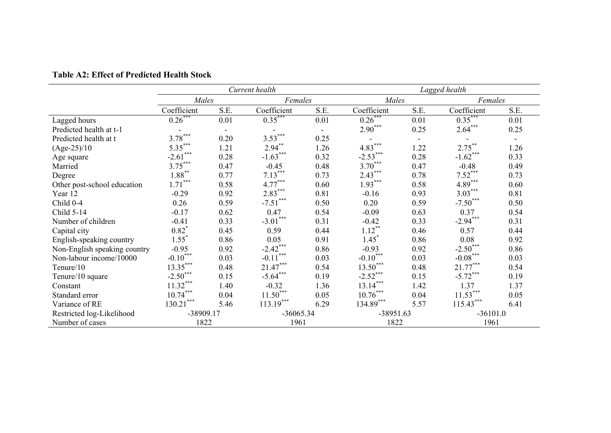|                              |             |      | Current health |         |                        | Lagged health  |             |         |  |
|------------------------------|-------------|------|----------------|---------|------------------------|----------------|-------------|---------|--|
|                              | Males       |      |                | Females |                        | Males          |             | Females |  |
|                              | Coefficient | S.E. | Coefficient    | S.E.    | Coefficient            | S.E.           | Coefficient | S.E.    |  |
| Lagged hours                 | $0.26$ ***  | 0.01 | $0.35***$      | 0.01    | $0.26$ **              | 0.01           | $0.35***$   | 0.01    |  |
| Predicted health at t-1      |             |      |                |         | $2.90***$              | 0.25           | $2.64***$   | 0.25    |  |
| Predicted health at t        | $3.78***$   | 0.20 | $3.53***$      | 0.25    |                        | $\blacksquare$ |             |         |  |
| $(Age-25)/10$                | $5.35***$   | 1.21 | $2.94***$      | 1.26    | $4.83***$              | 1.22           | $2.75***$   | 1.26    |  |
| Age square                   | $-2.61***$  | 0.28 | $-1.63***$     | 0.32    | $-2.53***$             | 0.28           | $-1.62***$  | 0.33    |  |
| Married                      | $3.75***$   | 0.47 | $-0.45$        | 0.48    | $3.70***$              | 0.47           | $-0.48$     | 0.49    |  |
| Degree                       | $1.88***$   | 0.77 | $7.13***$      | 0.73    | $2.43***$              | 0.78           | $7.52***$   | 0.73    |  |
| Other post-school education  | $1.71***$   | 0.58 | $4.77***$      | 0.60    | $1.93***$              | 0.58           | $4.89***$   | 0.60    |  |
| Year 12                      | $-0.29$     | 0.92 | $2.83***$      | 0.81    | $-0.16$                | 0.93           | $3.03***$   | 0.81    |  |
| Child 0-4                    | 0.26        | 0.59 | $-7.51***$     | 0.50    | 0.20                   | 0.59           | $-7.50***$  | 0.50    |  |
| Child 5-14                   | $-0.17$     | 0.62 | 0.47           | 0.54    | $-0.09$                | 0.63           | 0.37        | 0.54    |  |
| Number of children           | $-0.41$     | 0.33 | $-3.01***$     | 0.31    | $-0.42$                | 0.33           | $-2.94***$  | 0.31    |  |
| Capital city                 | $0.82^{*}$  | 0.45 | 0.59           | 0.44    | $1.12***$              | 0.46           | 0.57        | 0.44    |  |
| English-speaking country     | $1.55^*$    | 0.86 | 0.05           | 0.91    | $1.45*$                | 0.86           | 0.08        | 0.92    |  |
| Non-English speaking country | $-0.95$     | 0.92 | $-2.42***$     | 0.86    | $-0.93$                | 0.92           | $-2.50***$  | 0.86    |  |
| Non-labour income/10000      | $-0.10$ *** | 0.03 | $-0.11***$     | 0.03    | $-0.10$ <sup>***</sup> | 0.03           | $-0.08***$  | 0.03    |  |
| Tenure/10                    | $13.35***$  | 0.48 | $21.47***$     | 0.54    | $13.50***$             | 0.48           | $21.77***$  | 0.54    |  |
| Tenure/10 square             | $-2.50***$  | 0.15 | $-5.64***$     | 0.19    | $-2.52***$             | 0.15           | $-5.72***$  | 0.19    |  |
| Constant                     | $11.32***$  | 1.40 | $-0.32$        | 1.36    | $13.14***$             | 1.42           | 1.37        | 1.37    |  |
| Standard error               | $10.74***$  | 0.04 | $11.50***$     | 0.05    | $10.76***$             | 0.04           | $11.53***$  | 0.05    |  |
| Variance of RE               | $130.21***$ | 5.46 | $113.19***$    | 6.29    | $134.89***$            | 5.57           | $115.43***$ | 6.41    |  |
| Restricted log-Likelihood    | -38909.17   |      | $-36065.34$    |         | -38951.63              |                | $-36101.0$  |         |  |
| Number of cases              | 1822        |      | 1961           |         | 1822                   |                | 1961        |         |  |

**Table A2: Effect of Predicted Health Stock**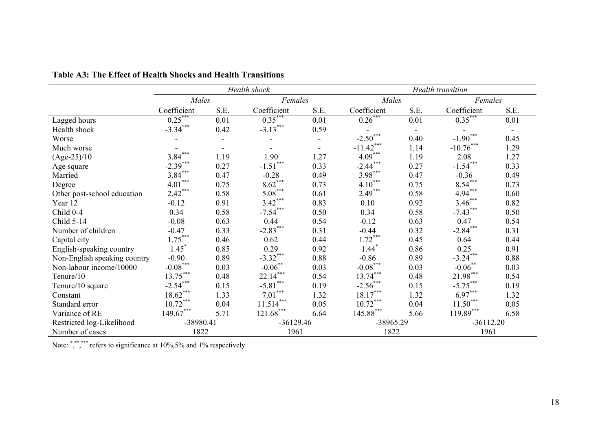|                              |             |      | Health shock   |         | Health transition      |                          |             |                          |
|------------------------------|-------------|------|----------------|---------|------------------------|--------------------------|-------------|--------------------------|
|                              | Males       |      |                | Females |                        | Males                    |             | Females                  |
|                              | Coefficient | S.E. | Coefficient    | S.E.    | Coefficient            | S.E.                     | Coefficient | S.E.                     |
| Lagged hours                 | $0.25***$   | 0.01 | $0.35***$      | 0.01    | $0.26***$              | 0.01                     | $0.35***$   | 0.01                     |
| Health shock                 | $-3.34***$  | 0.42 | $-3.13***$     | 0.59    |                        | $\overline{\phantom{a}}$ |             | $\overline{\phantom{a}}$ |
| Worse                        |             |      |                |         | $-2.50***$             | 0.40                     | $-1.90***$  | 0.45                     |
| Much worse                   |             |      |                |         | $-11.42***$            | 1.14                     | $-10.76***$ | 1.29                     |
| $(Age-25)/10$                | $3.84***$   | 1.19 | 1.90           | 1.27    | $4.09***$              | 1.19                     | 2.08        | 1.27                     |
| Age square                   | $-2.39***$  | 0.27 | ***<br>$-1.51$ | 0.33    | $-2.44***$             | 0.27                     | $-1.54***$  | 0.33                     |
| Married                      | $3.84***$   | 0.47 | $-0.28$        | 0.49    | $3.98***$              | 0.47                     | $-0.36$     | 0.49                     |
| Degree                       | $4.01***$   | 0.75 | $8.62***$      | 0.73    | $4.10***$              | 0.75                     | $8.54***$   | 0.73                     |
| Other post-school education  | $2.42***$   | 0.58 | $5.08***$      | 0.61    | $2.49***$              | 0.58                     | $4.94***$   | 0.60                     |
| Year 12                      | $-0.12$     | 0.91 | $3.42***$      | 0.83    | 0.10                   | 0.92                     | $3.46***$   | 0.82                     |
| Child 0-4                    | 0.34        | 0.58 | $-7.54***$     | 0.50    | 0.34                   | 0.58                     | $-7.43***$  | 0.50                     |
| Child 5-14                   | $-0.08$     | 0.63 | 0.44           | 0.54    | $-0.12$                | 0.63                     | 0.47        | 0.54                     |
| Number of children           | $-0.47$     | 0.33 | $-2.83***$     | 0.31    | $-0.44$                | 0.32                     | $-2.84***$  | 0.31                     |
| Capital city                 | $1.75***$   | 0.46 | 0.62           | 0.44    | $1.72***$              | 0.45                     | 0.64        | 0.44                     |
| English-speaking country     | $1.45^*$    | 0.85 | 0.29           | 0.92    | $1.44*$                | 0.86                     | 0.25        | 0.91                     |
| Non-English speaking country | $-0.90$     | 0.89 | $-3.32***$     | 0.88    | $-0.86$                | 0.89                     | $-3.24***$  | 0.88                     |
| Non-labour income/10000      | $-0.08***$  | 0.03 | $-0.06$ **     | 0.03    | $-0.08$ <sup>***</sup> | 0.03                     | $-0.06$ **  | 0.03                     |
| Tenure/10                    | $13.75***$  | 0.48 | $22.14***$     | 0.54    | $13.74***$             | 0.48                     | $21.98***$  | 0.54                     |
| Tenure/10 square             | $-2.54***$  | 0.15 | $-5.81***$     | 0.19    | $-2.56***$             | 0.15                     | $-5.75***$  | 0.19                     |
| Constant                     | $18.62***$  | 1.33 | $7.01***$      | 1.32    | $18.17***$             | 1.32                     | $6.97***$   | 1.32                     |
| Standard error               | $10.72***$  | 0.04 | $11.514***$    | 0.05    | $10.72***$             | 0.04                     | $11.50***$  | 0.05                     |
| Variance of RE               | $149.67***$ | 5.71 | $121.68^{***}$ | 6.64    | $145.88***$            | 5.66                     | $119.89***$ | 6.58                     |
| Restricted log-Likelihood    | -38980.41   |      | $-36129.46$    |         | -38965.29              |                          | $-36112.20$ |                          |
| Number of cases              | 1822        |      | 1961           |         | 1822                   |                          | 1961        |                          |

**Table A3: The Effect of Health Shocks and Health Transitions**

Note: ","," refers to significance at 10%,5% and 1% respectively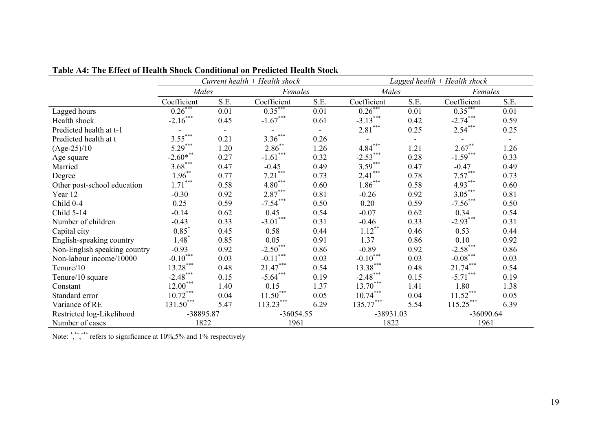|                              | Current health $+$ Health shock |                |             |         | Lagged health $+$ Health shock |                          |             |      |
|------------------------------|---------------------------------|----------------|-------------|---------|--------------------------------|--------------------------|-------------|------|
|                              | Males                           |                |             | Females |                                | Males                    | Females     |      |
|                              | Coefficient                     | S.E.           | Coefficient | S.E.    | Coefficient                    | S.E.                     | Coefficient | S.E. |
| Lagged hours                 | $0.26$ **                       | 0.01           | $0.35***$   | 0.01    | $0.26$ <sup>***</sup>          | 0.01                     | $0.35***$   | 0.01 |
| Health shock                 | $-2.16***$                      | 0.45           | $-1.67***$  | 0.61    | $-3.13***$                     | 0.42                     | $-2.74***$  | 0.59 |
| Predicted health at t-1      |                                 | $\blacksquare$ |             |         | $2.81***$                      | 0.25                     | $2.54***$   | 0.25 |
| Predicted health at t        | $3.55***$                       | 0.21           | $3.36***$   | 0.26    | $\overline{\phantom{a}}$       | $\overline{\phantom{a}}$ |             |      |
| $(Age-25)/10$                | $5.29***$                       | 1.20           | $2.86$ **   | 1.26    | ***<br>$4.84^{\degree}$        | 1.21                     | $2.67***$   | 1.26 |
| Age square                   | $-2.60$ ***                     | 0.27           | $-1.61$ *** | 0.32    | $-2.53***$                     | 0.28                     | $-1.59***$  | 0.33 |
| Married                      | $3.68***$                       | 0.47           | $-0.45$     | 0.49    | $3.59***$                      | 0.47                     | $-0.47$     | 0.49 |
| Degree                       | $1.96***$                       | 0.77           | $7.21$ ***  | 0.73    | $2.41***$                      | 0.78                     | $7.57***$   | 0.73 |
| Other post-school education  | $1.71***$                       | 0.58           | $4.80***$   | 0.60    | $1.86***$                      | 0.58                     | $4.93***$   | 0.60 |
| Year 12                      | $-0.30$                         | 0.92           | $2.87***$   | 0.81    | $-0.26$                        | 0.92                     | $3.05***$   | 0.81 |
| Child 0-4                    | 0.25                            | 0.59           | $-7.54***$  | 0.50    | 0.20                           | 0.59                     | $-7.56***$  | 0.50 |
| Child 5-14                   | $-0.14$                         | 0.62           | 0.45        | 0.54    | $-0.07$                        | 0.62                     | 0.34        | 0.54 |
| Number of children           | $-0.43$                         | 0.33           | $-3.01***$  | 0.31    | $-0.46$                        | 0.33                     | $-2.93***$  | 0.31 |
| Capital city                 | $0.85*$                         | 0.45           | 0.58        | 0.44    | $1.12***$                      | 0.46                     | 0.53        | 0.44 |
| English-speaking country     | $1.48$ <sup>*</sup>             | 0.85           | 0.05        | 0.91    | 1.37                           | 0.86                     | 0.10        | 0.92 |
| Non-English speaking country | $-0.93$                         | 0.92           | $-2.50***$  | 0.86    | $-0.89$                        | 0.92                     | $-2.58$ *** | 0.86 |
| Non-labour income/10000      | $-0.10$ ***                     | 0.03           | $-0.11***$  | 0.03    | $-0.10***$                     | 0.03                     | $-0.08***$  | 0.03 |
| Tenure/10                    | $13.28***$                      | 0.48           | $21.47***$  | 0.54    | $13.38***$                     | 0.48                     | $21.74***$  | 0.54 |
| Tenure/10 square             | $-2.48***$                      | 0.15           | $-5.64***$  | 0.19    | $-2.48***$                     | 0.15                     | $-5.71***$  | 0.19 |
| Constant                     | $12.00***$                      | 1.40           | 0.15        | 1.37    | $13.70***$                     | 1.41                     | 1.80        | 1.38 |
| Standard error               | $10.72***$                      | 0.04           | $11.50***$  | 0.05    | $10.74***$                     | 0.04                     | $11.52***$  | 0.05 |
| Variance of RE               | $131.50***$                     | 5.47           | $113.23***$ | 6.29    | $135.77***$                    | 5.54                     | $115.25***$ | 6.39 |
| Restricted log-Likelihood    | -38895.87                       |                | $-36054.55$ |         | $-38931.03$                    |                          | $-36090.64$ |      |
| Number of cases              | 1822                            |                | 1961        |         | 1822                           |                          | 1961        |      |

**Table A4: The Effect of Health Shock Conditional on Predicted Health Stock**

Note: ","," refers to significance at 10%,5% and 1% respectively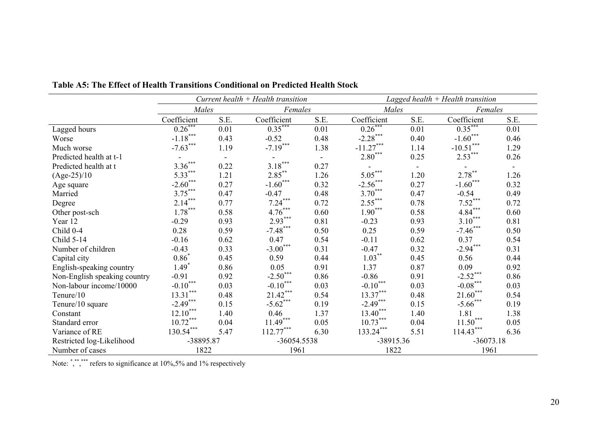|                              |                     |                          | Current health $+$ Health transition |         | Lagged health $+$ Health transition |                          |             |         |
|------------------------------|---------------------|--------------------------|--------------------------------------|---------|-------------------------------------|--------------------------|-------------|---------|
|                              | Males               |                          |                                      | Females |                                     | Males                    |             | Females |
|                              | Coefficient         | S.E.                     | Coefficient                          | S.E.    | Coefficient                         | S.E.                     | Coefficient | S.E.    |
| Lagged hours                 | $0.26***$           | 0.01                     | $0.35***$                            | 0.01    | $0.26***$                           | 0.01                     | $0.35***$   | 0.01    |
| Worse                        | $-1.18***$          | 0.43                     | $-0.52$                              | 0.48    | $-2.28***$                          | 0.40                     | $-1.60***$  | 0.46    |
| Much worse                   | $-7.63***$          | 1.19                     | $-7.19***$                           | 1.38    | $-11.27***$                         | 1.14                     | $-10.51***$ | 1.29    |
| Predicted health at t-1      |                     | $\overline{\phantom{a}}$ |                                      |         | $2.80***$                           | 0.25                     | $2.53***$   | 0.26    |
| Predicted health at t        | $3.36***$           | 0.22                     | $3.18***$                            | 0.27    |                                     | $\overline{\phantom{a}}$ |             |         |
| $(Age-25)/10$                | $5.33***$           | 1.21                     | $2.85***$                            | 1.26    | $5.05***$                           | 1.20                     | $2.78***$   | 1.26    |
| Age square                   | $-2.60***$          | 0.27                     | $-1.60***$                           | 0.32    | $-2.56***$                          | 0.27                     | $-1.60***$  | 0.32    |
| Married                      | $3.75***$           | 0.47                     | $-0.47$                              | 0.48    | $3.70***$                           | 0.47                     | $-0.54$     | 0.49    |
| Degree                       | $2.14***$           | 0.77                     | $7.24***$                            | 0.72    | $2.55***$                           | 0.78                     | $7.52***$   | 0.72    |
| Other post-sch               | $1.78***$           | 0.58                     | $4.76***$                            | 0.60    | $1.90***$                           | 0.58                     | $4.84***$   | 0.60    |
| Year 12                      | $-0.29$             | 0.93                     | $2.93***$                            | 0.81    | $-0.23$                             | 0.93                     | $3.10***$   | 0.81    |
| Child 0-4                    | 0.28                | 0.59                     | $-7.48***$                           | 0.50    | 0.25                                | 0.59                     | $-7.46***$  | 0.50    |
| Child 5-14                   | $-0.16$             | 0.62                     | 0.47                                 | 0.54    | $-0.11$                             | 0.62                     | 0.37        | 0.54    |
| Number of children           | $-0.43$             | 0.33                     | $-3.00***$                           | 0.31    | $-0.47$                             | 0.32                     | $-2.94***$  | 0.31    |
| Capital city                 | $0.86*$             | 0.45                     | 0.59                                 | 0.44    | $1.03***$                           | 0.45                     | 0.56        | 0.44    |
| English-speaking country     | $1.49$ <sup>*</sup> | 0.86                     | 0.05                                 | 0.91    | 1.37                                | 0.87                     | 0.09        | 0.92    |
| Non-English speaking country | $-0.91$             | 0.92                     | $-2.50***$                           | 0.86    | $-0.86$                             | 0.91                     | $-2.52***$  | 0.86    |
| Non-labour income/10000      | $-0.10***$          | 0.03                     | $-0.10***$                           | 0.03    | $-0.10***$                          | 0.03                     | $-0.08***$  | 0.03    |
| Tenure/10                    | $13.31***$          | 0.48                     | $21.42***$                           | 0.54    | $13.37***$                          | 0.48                     | $21.60***$  | 0.54    |
| Tenure/10 square             | $-2.49***$          | 0.15                     | $-5.62$ ***                          | 0.19    | $-2.49***$                          | 0.15                     | $-5.66$ *** | 0.19    |
| Constant                     | $12.10***$          | 1.40                     | 0.46                                 | 1.37    | $13.40***$                          | 1.40                     | 1.81        | 1.38    |
| Standard error               | $10.72***$          | 0.04                     | $11.49***$                           | 0.05    | $10.73***$                          | 0.04                     | $11.50***$  | 0.05    |
| Variance of RE               | $130.54***$         | 5.47                     | $112.77***$                          | 6.30    | $133.24***$                         | 5.51                     | $114.43***$ | 6.36    |
| Restricted log-Likelihood    | -38895.87           |                          | -36054.5538                          |         | -38915.36                           |                          | $-36073.18$ |         |
| Number of cases              | 1822                |                          | 1961                                 |         | 1822                                |                          | 1961        |         |

**Table A5: The Effect of Health Transitions Conditional on Predicted Health Stock**

Note: ","," refers to significance at 10%,5% and 1% respectively